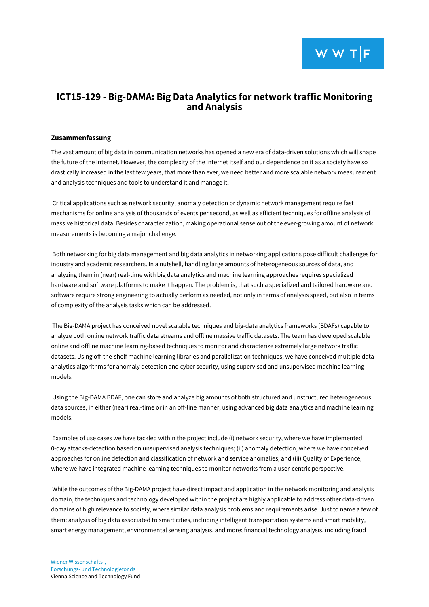## **ICT15-129 - Big-DAMA: Big Data Analytics for network traffic Monitoring and Analysis**

## **Zusammenfassung**

The vast amount of big data in communication networks has opened a new era of data-driven solutions which will shape the future of the Internet. However, the complexity of the Internet itself and our dependence on it as a society have so drastically increased in the last few years, that more than ever, we need better and more scalable network measurement and analysis techniques and tools to understand it and manage it.

Critical applications such as network security, anomaly detection or dynamic network management require fast mechanisms for online analysis of thousands of events per second, as well as efficient techniques for offline analysis of massive historical data. Besides characterization, making operational sense out of the ever-growing amount of network measurements is becoming a major challenge.

Both networking for big data management and big data analytics in networking applications pose difficult challenges for industry and academic researchers. In a nutshell, handling large amounts of heterogeneous sources of data, and analyzing them in (near) real-time with big data analytics and machine learning approaches requires specialized hardware and software platforms to make it happen. The problem is, that such a specialized and tailored hardware and software require strong engineering to actually perform as needed, not only in terms of analysis speed, but also in terms of complexity of the analysis tasks which can be addressed.

The Big-DAMA project has conceived novel scalable techniques and big-data analytics frameworks (BDAFs) capable to analyze both online network traffic data streams and offline massive traffic datasets. The team has developed scalable online and offline machine learning-based techniques to monitor and characterize extremely large network traffic datasets. Using off-the-shelf machine learning libraries and parallelization techniques, we have conceived multiple data analytics algorithms for anomaly detection and cyber security, using supervised and unsupervised machine learning models.

Using the Big-DAMA BDAF, one can store and analyze big amounts of both structured and unstructured heterogeneous data sources, in either (near) real-time or in an off-line manner, using advanced big data analytics and machine learning models.

Examples of use cases we have tackled within the project include (i) network security, where we have implemented 0-day attacks-detection based on unsupervised analysis techniques; (ii) anomaly detection, where we have conceived approaches for online detection and classification of network and service anomalies; and (iii) Quality of Experience, where we have integrated machine learning techniques to monitor networks from a user-centric perspective.

While the outcomes of the Big-DAMA project have direct impact and application in the network monitoring and analysis domain, the techniques and technology developed within the project are highly applicable to address other data-driven domains of high relevance to society, where similar data analysis problems and requirements arise. Just to name a few of them: analysis of big data associated to smart cities, including intelligent transportation systems and smart mobility, smart energy management, environmental sensing analysis, and more; financial technology analysis, including fraud